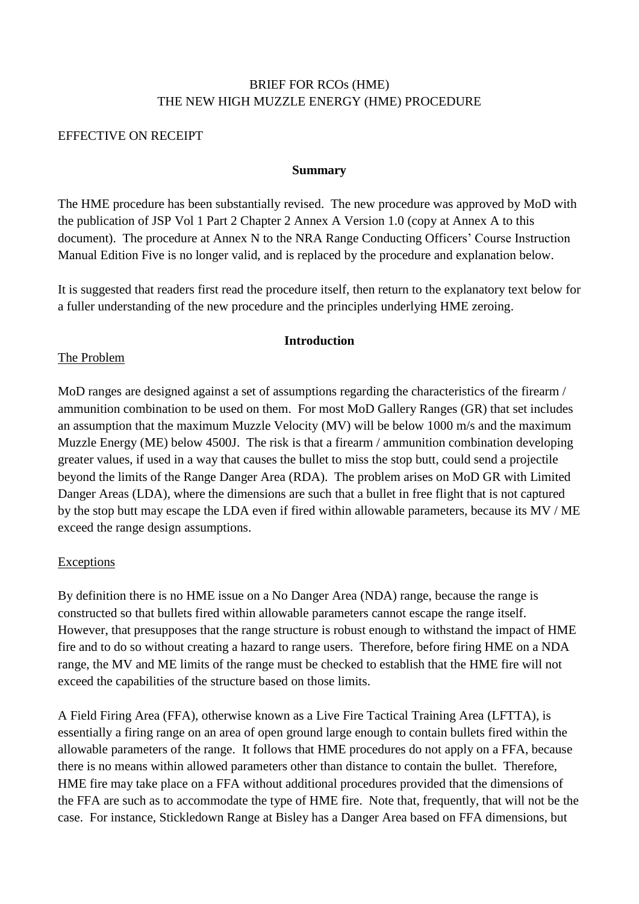# BRIEF FOR RCOs (HME) THE NEW HIGH MUZZLE ENERGY (HME) PROCEDURE

#### EFFECTIVE ON RECEIPT

#### **Summary**

The HME procedure has been substantially revised. The new procedure was approved by MoD with the publication of JSP Vol 1 Part 2 Chapter 2 Annex A Version 1.0 (copy at Annex A to this document). The procedure at Annex N to the NRA Range Conducting Officers' Course Instruction Manual Edition Five is no longer valid, and is replaced by the procedure and explanation below.

It is suggested that readers first read the procedure itself, then return to the explanatory text below for a fuller understanding of the new procedure and the principles underlying HME zeroing.

#### **Introduction**

#### The Problem

MoD ranges are designed against a set of assumptions regarding the characteristics of the firearm / ammunition combination to be used on them. For most MoD Gallery Ranges (GR) that set includes an assumption that the maximum Muzzle Velocity (MV) will be below 1000 m/s and the maximum Muzzle Energy (ME) below 4500J. The risk is that a firearm / ammunition combination developing greater values, if used in a way that causes the bullet to miss the stop butt, could send a projectile beyond the limits of the Range Danger Area (RDA). The problem arises on MoD GR with Limited Danger Areas (LDA), where the dimensions are such that a bullet in free flight that is not captured by the stop butt may escape the LDA even if fired within allowable parameters, because its MV / ME exceed the range design assumptions.

# Exceptions

By definition there is no HME issue on a No Danger Area (NDA) range, because the range is constructed so that bullets fired within allowable parameters cannot escape the range itself. However, that presupposes that the range structure is robust enough to withstand the impact of HME fire and to do so without creating a hazard to range users. Therefore, before firing HME on a NDA range, the MV and ME limits of the range must be checked to establish that the HME fire will not exceed the capabilities of the structure based on those limits.

A Field Firing Area (FFA), otherwise known as a Live Fire Tactical Training Area (LFTTA), is essentially a firing range on an area of open ground large enough to contain bullets fired within the allowable parameters of the range. It follows that HME procedures do not apply on a FFA, because there is no means within allowed parameters other than distance to contain the bullet. Therefore, HME fire may take place on a FFA without additional procedures provided that the dimensions of the FFA are such as to accommodate the type of HME fire. Note that, frequently, that will not be the case. For instance, Stickledown Range at Bisley has a Danger Area based on FFA dimensions, but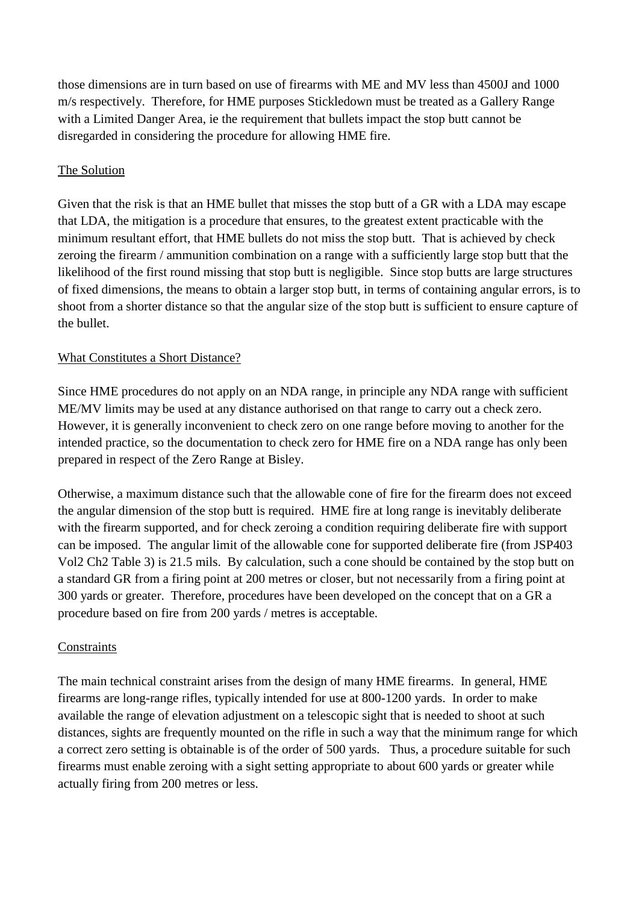those dimensions are in turn based on use of firearms with ME and MV less than 4500J and 1000 m/s respectively. Therefore, for HME purposes Stickledown must be treated as a Gallery Range with a Limited Danger Area, ie the requirement that bullets impact the stop butt cannot be disregarded in considering the procedure for allowing HME fire.

# The Solution

Given that the risk is that an HME bullet that misses the stop butt of a GR with a LDA may escape that LDA, the mitigation is a procedure that ensures, to the greatest extent practicable with the minimum resultant effort, that HME bullets do not miss the stop butt. That is achieved by check zeroing the firearm / ammunition combination on a range with a sufficiently large stop butt that the likelihood of the first round missing that stop butt is negligible. Since stop butts are large structures of fixed dimensions, the means to obtain a larger stop butt, in terms of containing angular errors, is to shoot from a shorter distance so that the angular size of the stop butt is sufficient to ensure capture of the bullet.

# What Constitutes a Short Distance?

Since HME procedures do not apply on an NDA range, in principle any NDA range with sufficient ME/MV limits may be used at any distance authorised on that range to carry out a check zero. However, it is generally inconvenient to check zero on one range before moving to another for the intended practice, so the documentation to check zero for HME fire on a NDA range has only been prepared in respect of the Zero Range at Bisley.

Otherwise, a maximum distance such that the allowable cone of fire for the firearm does not exceed the angular dimension of the stop butt is required. HME fire at long range is inevitably deliberate with the firearm supported, and for check zeroing a condition requiring deliberate fire with support can be imposed. The angular limit of the allowable cone for supported deliberate fire (from JSP403 Vol2 Ch2 Table 3) is 21.5 mils. By calculation, such a cone should be contained by the stop butt on a standard GR from a firing point at 200 metres or closer, but not necessarily from a firing point at 300 yards or greater. Therefore, procedures have been developed on the concept that on a GR a procedure based on fire from 200 yards / metres is acceptable.

# **Constraints**

The main technical constraint arises from the design of many HME firearms. In general, HME firearms are long-range rifles, typically intended for use at 800-1200 yards. In order to make available the range of elevation adjustment on a telescopic sight that is needed to shoot at such distances, sights are frequently mounted on the rifle in such a way that the minimum range for which a correct zero setting is obtainable is of the order of 500 yards. Thus, a procedure suitable for such firearms must enable zeroing with a sight setting appropriate to about 600 yards or greater while actually firing from 200 metres or less.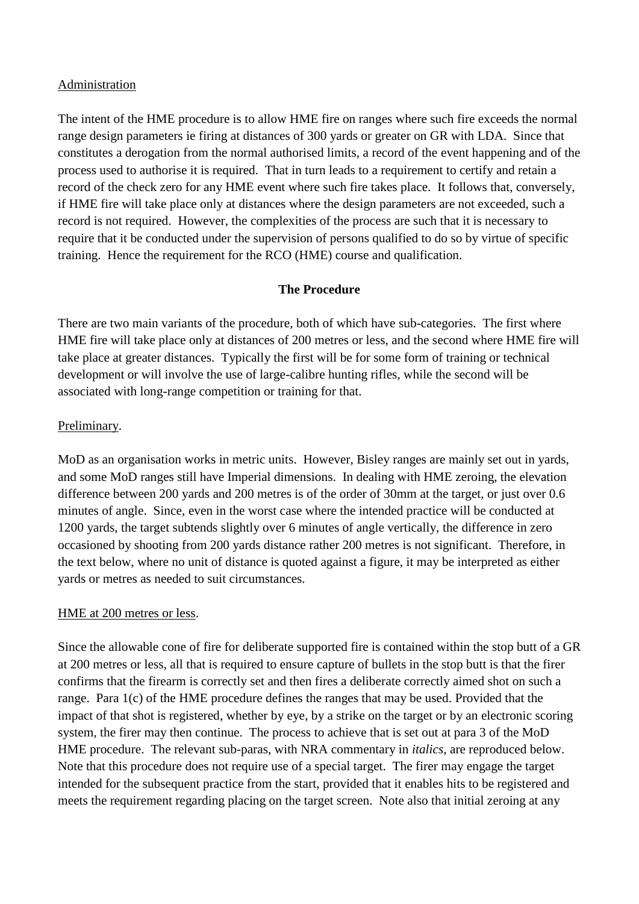### Administration

The intent of the HME procedure is to allow HME fire on ranges where such fire exceeds the normal range design parameters ie firing at distances of 300 yards or greater on GR with LDA. Since that constitutes a derogation from the normal authorised limits, a record of the event happening and of the process used to authorise it is required. That in turn leads to a requirement to certify and retain a record of the check zero for any HME event where such fire takes place. It follows that, conversely, if HME fire will take place only at distances where the design parameters are not exceeded, such a record is not required. However, the complexities of the process are such that it is necessary to require that it be conducted under the supervision of persons qualified to do so by virtue of specific training. Hence the requirement for the RCO (HME) course and qualification.

# **The Procedure**

There are two main variants of the procedure, both of which have sub-categories. The first where HME fire will take place only at distances of 200 metres or less, and the second where HME fire will take place at greater distances. Typically the first will be for some form of training or technical development or will involve the use of large-calibre hunting rifles, while the second will be associated with long-range competition or training for that.

# Preliminary.

MoD as an organisation works in metric units. However, Bisley ranges are mainly set out in yards, and some MoD ranges still have Imperial dimensions. In dealing with HME zeroing, the elevation difference between 200 yards and 200 metres is of the order of 30mm at the target, or just over 0.6 minutes of angle. Since, even in the worst case where the intended practice will be conducted at 1200 yards, the target subtends slightly over 6 minutes of angle vertically, the difference in zero occasioned by shooting from 200 yards distance rather 200 metres is not significant. Therefore, in the text below, where no unit of distance is quoted against a figure, it may be interpreted as either yards or metres as needed to suit circumstances.

# HME at 200 metres or less.

Since the allowable cone of fire for deliberate supported fire is contained within the stop butt of a GR at 200 metres or less, all that is required to ensure capture of bullets in the stop butt is that the firer confirms that the firearm is correctly set and then fires a deliberate correctly aimed shot on such a range. Para 1(c) of the HME procedure defines the ranges that may be used. Provided that the impact of that shot is registered, whether by eye, by a strike on the target or by an electronic scoring system, the firer may then continue. The process to achieve that is set out at para 3 of the MoD HME procedure. The relevant sub-paras, with NRA commentary in *italics*, are reproduced below. Note that this procedure does not require use of a special target. The firer may engage the target intended for the subsequent practice from the start, provided that it enables hits to be registered and meets the requirement regarding placing on the target screen. Note also that initial zeroing at any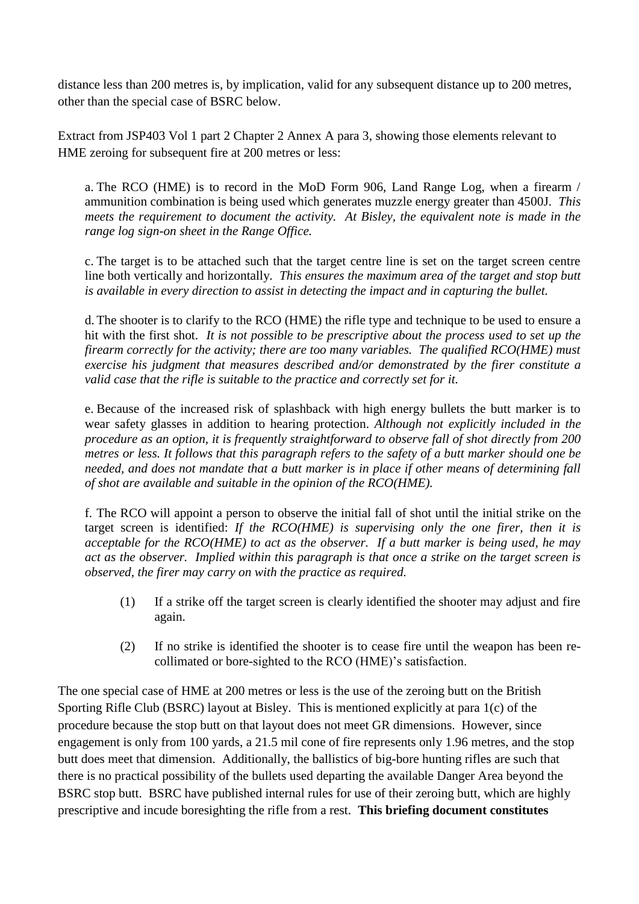distance less than 200 metres is, by implication, valid for any subsequent distance up to 200 metres, other than the special case of BSRC below.

Extract from JSP403 Vol 1 part 2 Chapter 2 Annex A para 3, showing those elements relevant to HME zeroing for subsequent fire at 200 metres or less:

a. The RCO (HME) is to record in the MoD Form 906, Land Range Log, when a firearm / ammunition combination is being used which generates muzzle energy greater than 4500J. *This meets the requirement to document the activity. At Bisley, the equivalent note is made in the range log sign-on sheet in the Range Office.*

c. The target is to be attached such that the target centre line is set on the target screen centre line both vertically and horizontally. *This ensures the maximum area of the target and stop butt is available in every direction to assist in detecting the impact and in capturing the bullet.*

d. The shooter is to clarify to the RCO (HME) the rifle type and technique to be used to ensure a hit with the first shot. *It is not possible to be prescriptive about the process used to set up the firearm correctly for the activity; there are too many variables. The qualified RCO(HME) must exercise his judgment that measures described and/or demonstrated by the firer constitute a valid case that the rifle is suitable to the practice and correctly set for it.*

e. Because of the increased risk of splashback with high energy bullets the butt marker is to wear safety glasses in addition to hearing protection. *Although not explicitly included in the procedure as an option, it is frequently straightforward to observe fall of shot directly from 200 metres or less. It follows that this paragraph refers to the safety of a butt marker should one be needed, and does not mandate that a butt marker is in place if other means of determining fall of shot are available and suitable in the opinion of the RCO(HME).* 

f. The RCO will appoint a person to observe the initial fall of shot until the initial strike on the target screen is identified: *If the RCO(HME) is supervising only the one firer, then it is acceptable for the RCO(HME) to act as the observer. If a butt marker is being used, he may act as the observer. Implied within this paragraph is that once a strike on the target screen is observed, the firer may carry on with the practice as required.*

- (1) If a strike off the target screen is clearly identified the shooter may adjust and fire again.
- (2) If no strike is identified the shooter is to cease fire until the weapon has been recollimated or bore-sighted to the RCO (HME)'s satisfaction.

The one special case of HME at 200 metres or less is the use of the zeroing butt on the British Sporting Rifle Club (BSRC) layout at Bisley. This is mentioned explicitly at para 1(c) of the procedure because the stop butt on that layout does not meet GR dimensions. However, since engagement is only from 100 yards, a 21.5 mil cone of fire represents only 1.96 metres, and the stop butt does meet that dimension. Additionally, the ballistics of big-bore hunting rifles are such that there is no practical possibility of the bullets used departing the available Danger Area beyond the BSRC stop butt. BSRC have published internal rules for use of their zeroing butt, which are highly prescriptive and incude boresighting the rifle from a rest. **This briefing document constitutes**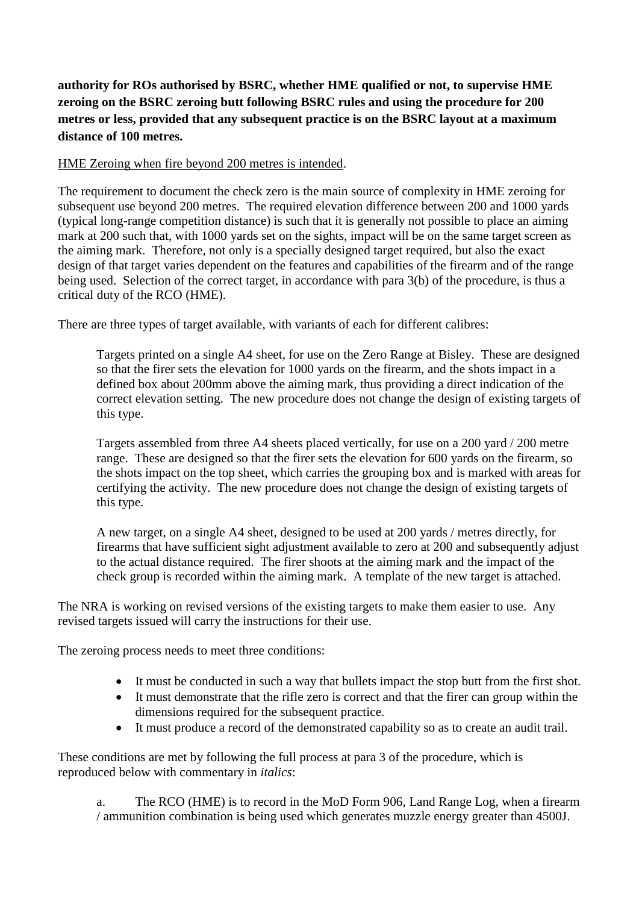**authority for ROs authorised by BSRC, whether HME qualified or not, to supervise HME zeroing on the BSRC zeroing butt following BSRC rules and using the procedure for 200 metres or less, provided that any subsequent practice is on the BSRC layout at a maximum distance of 100 metres.**

### HME Zeroing when fire beyond 200 metres is intended.

The requirement to document the check zero is the main source of complexity in HME zeroing for subsequent use beyond 200 metres. The required elevation difference between 200 and 1000 yards (typical long-range competition distance) is such that it is generally not possible to place an aiming mark at 200 such that, with 1000 yards set on the sights, impact will be on the same target screen as the aiming mark. Therefore, not only is a specially designed target required, but also the exact design of that target varies dependent on the features and capabilities of the firearm and of the range being used. Selection of the correct target, in accordance with para 3(b) of the procedure, is thus a critical duty of the RCO (HME).

There are three types of target available, with variants of each for different calibres:

Targets printed on a single A4 sheet, for use on the Zero Range at Bisley. These are designed so that the firer sets the elevation for 1000 yards on the firearm, and the shots impact in a defined box about 200mm above the aiming mark, thus providing a direct indication of the correct elevation setting. The new procedure does not change the design of existing targets of this type.

Targets assembled from three A4 sheets placed vertically, for use on a 200 yard / 200 metre range. These are designed so that the firer sets the elevation for 600 yards on the firearm, so the shots impact on the top sheet, which carries the grouping box and is marked with areas for certifying the activity. The new procedure does not change the design of existing targets of this type.

A new target, on a single A4 sheet, designed to be used at 200 yards / metres directly, for firearms that have sufficient sight adjustment available to zero at 200 and subsequently adjust to the actual distance required. The firer shoots at the aiming mark and the impact of the check group is recorded within the aiming mark. A template of the new target is attached.

The NRA is working on revised versions of the existing targets to make them easier to use. Any revised targets issued will carry the instructions for their use.

The zeroing process needs to meet three conditions:

- It must be conducted in such a way that bullets impact the stop butt from the first shot.
- It must demonstrate that the rifle zero is correct and that the firer can group within the dimensions required for the subsequent practice.
- It must produce a record of the demonstrated capability so as to create an audit trail.

These conditions are met by following the full process at para 3 of the procedure, which is reproduced below with commentary in *italics*:

a. The RCO (HME) is to record in the MoD Form 906, Land Range Log, when a firearm / ammunition combination is being used which generates muzzle energy greater than 4500J.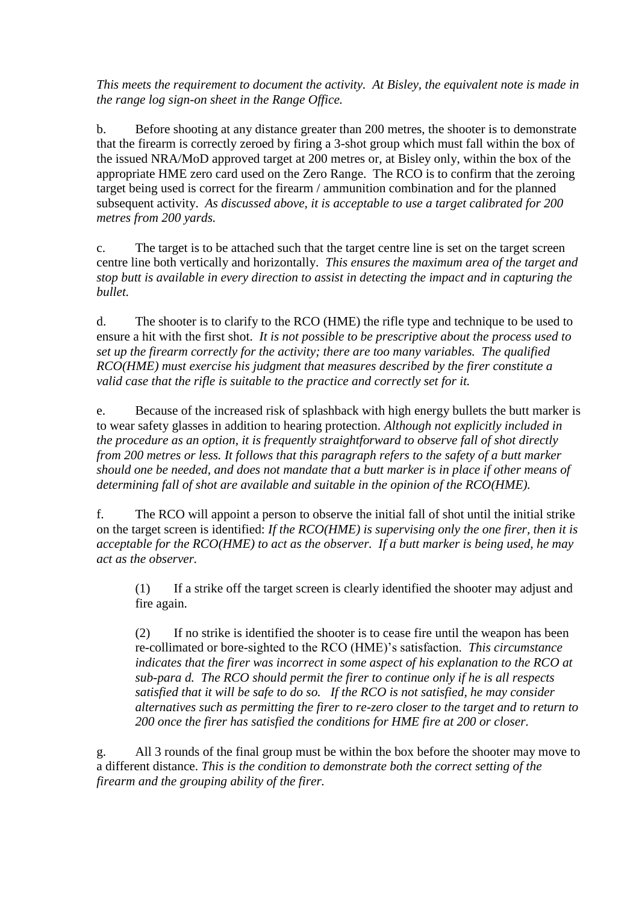*This meets the requirement to document the activity. At Bisley, the equivalent note is made in the range log sign-on sheet in the Range Office.*

b. Before shooting at any distance greater than 200 metres, the shooter is to demonstrate that the firearm is correctly zeroed by firing a 3-shot group which must fall within the box of the issued NRA/MoD approved target at 200 metres or, at Bisley only, within the box of the appropriate HME zero card used on the Zero Range. The RCO is to confirm that the zeroing target being used is correct for the firearm / ammunition combination and for the planned subsequent activity. *As discussed above, it is acceptable to use a target calibrated for 200 metres from 200 yards.* 

c. The target is to be attached such that the target centre line is set on the target screen centre line both vertically and horizontally. *This ensures the maximum area of the target and stop butt is available in every direction to assist in detecting the impact and in capturing the bullet.*

d. The shooter is to clarify to the RCO (HME) the rifle type and technique to be used to ensure a hit with the first shot. *It is not possible to be prescriptive about the process used to set up the firearm correctly for the activity; there are too many variables. The qualified RCO(HME) must exercise his judgment that measures described by the firer constitute a valid case that the rifle is suitable to the practice and correctly set for it.*

e. Because of the increased risk of splashback with high energy bullets the butt marker is to wear safety glasses in addition to hearing protection. *Although not explicitly included in the procedure as an option, it is frequently straightforward to observe fall of shot directly from 200 metres or less. It follows that this paragraph refers to the safety of a butt marker should one be needed, and does not mandate that a butt marker is in place if other means of determining fall of shot are available and suitable in the opinion of the RCO(HME).*

f. The RCO will appoint a person to observe the initial fall of shot until the initial strike on the target screen is identified: *If the RCO(HME) is supervising only the one firer, then it is acceptable for the RCO(HME) to act as the observer. If a butt marker is being used, he may act as the observer.* 

(1) If a strike off the target screen is clearly identified the shooter may adjust and fire again.

(2) If no strike is identified the shooter is to cease fire until the weapon has been re-collimated or bore-sighted to the RCO (HME)'s satisfaction. *This circumstance*  indicates that the firer was incorrect in some aspect of his explanation to the RCO at *sub-para d. The RCO should permit the firer to continue only if he is all respects satisfied that it will be safe to do so. If the RCO is not satisfied, he may consider alternatives such as permitting the firer to re-zero closer to the target and to return to 200 once the firer has satisfied the conditions for HME fire at 200 or closer.*

g. All 3 rounds of the final group must be within the box before the shooter may move to a different distance. *This is the condition to demonstrate both the correct setting of the firearm and the grouping ability of the firer.*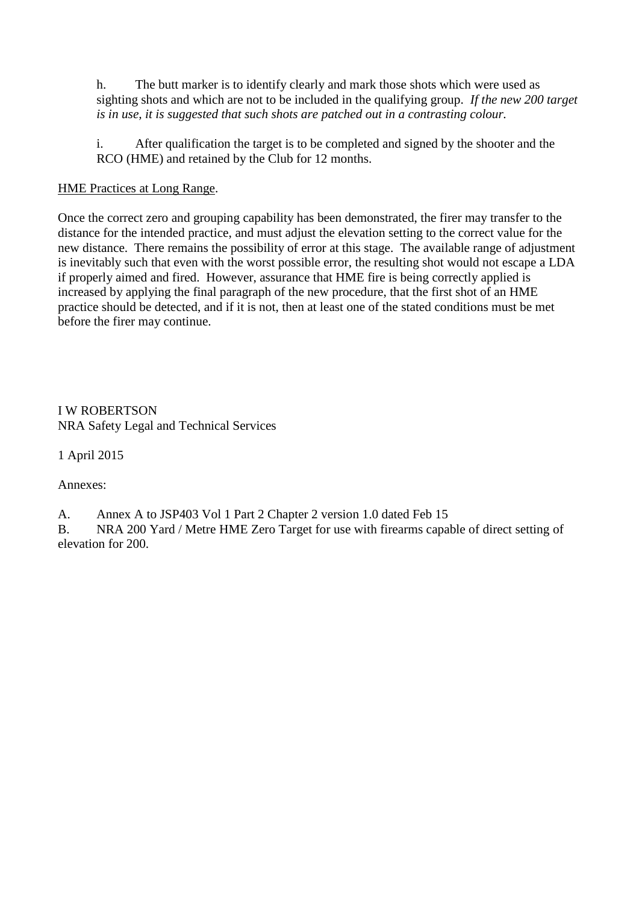h. The butt marker is to identify clearly and mark those shots which were used as sighting shots and which are not to be included in the qualifying group. *If the new 200 target is in use, it is suggested that such shots are patched out in a contrasting colour.*

i. After qualification the target is to be completed and signed by the shooter and the RCO (HME) and retained by the Club for 12 months.

# HME Practices at Long Range.

Once the correct zero and grouping capability has been demonstrated, the firer may transfer to the distance for the intended practice, and must adjust the elevation setting to the correct value for the new distance. There remains the possibility of error at this stage. The available range of adjustment is inevitably such that even with the worst possible error, the resulting shot would not escape a LDA if properly aimed and fired. However, assurance that HME fire is being correctly applied is increased by applying the final paragraph of the new procedure, that the first shot of an HME practice should be detected, and if it is not, then at least one of the stated conditions must be met before the firer may continue.

I W ROBERTSON NRA Safety Legal and Technical Services

1 April 2015

Annexes:

A. Annex A to JSP403 Vol 1 Part 2 Chapter 2 version 1.0 dated Feb 15

B. NRA 200 Yard / Metre HME Zero Target for use with firearms capable of direct setting of elevation for 200.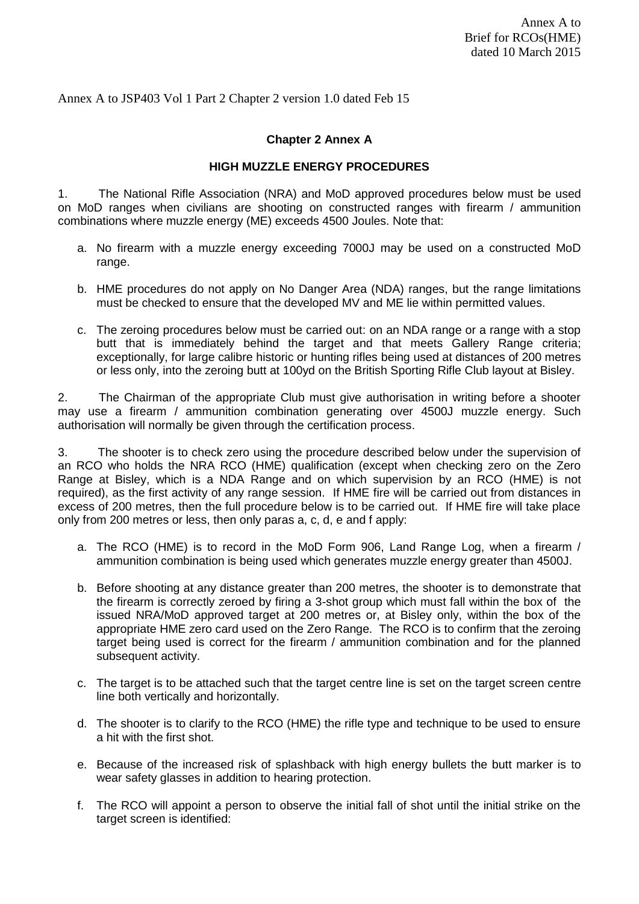Annex A to JSP403 Vol 1 Part 2 Chapter 2 version 1.0 dated Feb 15

#### **Chapter 2 Annex A**

#### **HIGH MUZZLE ENERGY PROCEDURES**

1. The National Rifle Association (NRA) and MoD approved procedures below must be used on MoD ranges when civilians are shooting on constructed ranges with firearm / ammunition combinations where muzzle energy (ME) exceeds 4500 Joules. Note that:

- a. No firearm with a muzzle energy exceeding 7000J may be used on a constructed MoD range.
- b. HME procedures do not apply on No Danger Area (NDA) ranges, but the range limitations must be checked to ensure that the developed MV and ME lie within permitted values.
- c. The zeroing procedures below must be carried out: on an NDA range or a range with a stop butt that is immediately behind the target and that meets Gallery Range criteria; exceptionally, for large calibre historic or hunting rifles being used at distances of 200 metres or less only, into the zeroing butt at 100yd on the British Sporting Rifle Club layout at Bisley.

2. The Chairman of the appropriate Club must give authorisation in writing before a shooter may use a firearm / ammunition combination generating over 4500J muzzle energy. Such authorisation will normally be given through the certification process.

3. The shooter is to check zero using the procedure described below under the supervision of an RCO who holds the NRA RCO (HME) qualification (except when checking zero on the Zero Range at Bisley, which is a NDA Range and on which supervision by an RCO (HME) is not required), as the first activity of any range session. If HME fire will be carried out from distances in excess of 200 metres, then the full procedure below is to be carried out. If HME fire will take place only from 200 metres or less, then only paras a, c, d, e and f apply:

- a. The RCO (HME) is to record in the MoD Form 906, Land Range Log, when a firearm / ammunition combination is being used which generates muzzle energy greater than 4500J.
- b. Before shooting at any distance greater than 200 metres, the shooter is to demonstrate that the firearm is correctly zeroed by firing a 3-shot group which must fall within the box of the issued NRA/MoD approved target at 200 metres or, at Bisley only, within the box of the appropriate HME zero card used on the Zero Range. The RCO is to confirm that the zeroing target being used is correct for the firearm / ammunition combination and for the planned subsequent activity.
- c. The target is to be attached such that the target centre line is set on the target screen centre line both vertically and horizontally.
- d. The shooter is to clarify to the RCO (HME) the rifle type and technique to be used to ensure a hit with the first shot.
- e. Because of the increased risk of splashback with high energy bullets the butt marker is to wear safety glasses in addition to hearing protection.
- f. The RCO will appoint a person to observe the initial fall of shot until the initial strike on the target screen is identified: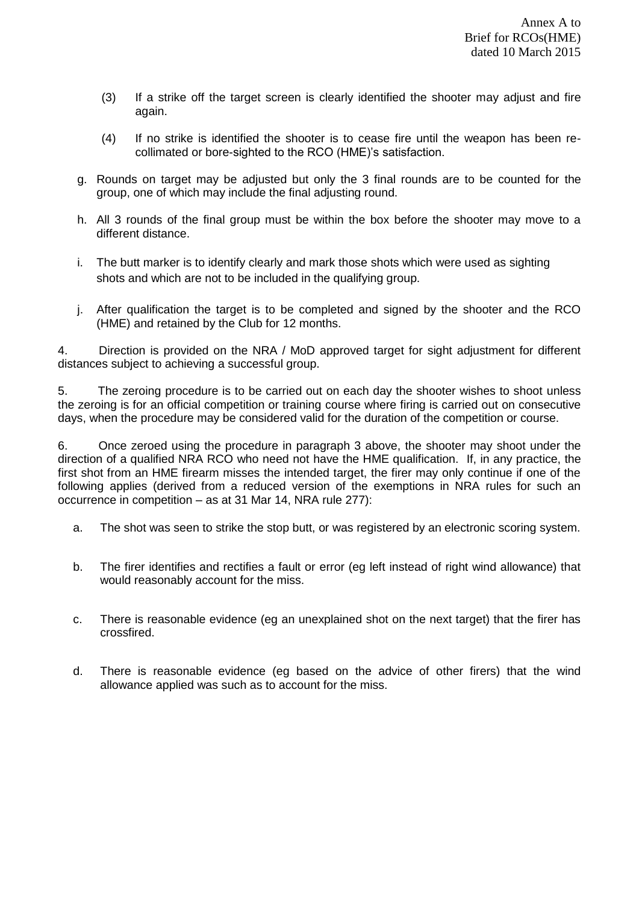- (3) If a strike off the target screen is clearly identified the shooter may adjust and fire again.
- (4) If no strike is identified the shooter is to cease fire until the weapon has been recollimated or bore-sighted to the RCO (HME)'s satisfaction.
- g. Rounds on target may be adjusted but only the 3 final rounds are to be counted for the group, one of which may include the final adjusting round.
- h. All 3 rounds of the final group must be within the box before the shooter may move to a different distance.
- i. The butt marker is to identify clearly and mark those shots which were used as sighting shots and which are not to be included in the qualifying group.
- j. After qualification the target is to be completed and signed by the shooter and the RCO (HME) and retained by the Club for 12 months.

4. Direction is provided on the NRA / MoD approved target for sight adjustment for different distances subject to achieving a successful group.

5. The zeroing procedure is to be carried out on each day the shooter wishes to shoot unless the zeroing is for an official competition or training course where firing is carried out on consecutive days, when the procedure may be considered valid for the duration of the competition or course.

6. Once zeroed using the procedure in paragraph 3 above, the shooter may shoot under the direction of a qualified NRA RCO who need not have the HME qualification. If, in any practice, the first shot from an HME firearm misses the intended target, the firer may only continue if one of the following applies (derived from a reduced version of the exemptions in NRA rules for such an occurrence in competition – as at 31 Mar 14, NRA rule 277):

- a. The shot was seen to strike the stop butt, or was registered by an electronic scoring system.
- b. The firer identifies and rectifies a fault or error (eg left instead of right wind allowance) that would reasonably account for the miss.
- c. There is reasonable evidence (eg an unexplained shot on the next target) that the firer has crossfired.
- d. There is reasonable evidence (eg based on the advice of other firers) that the wind allowance applied was such as to account for the miss.